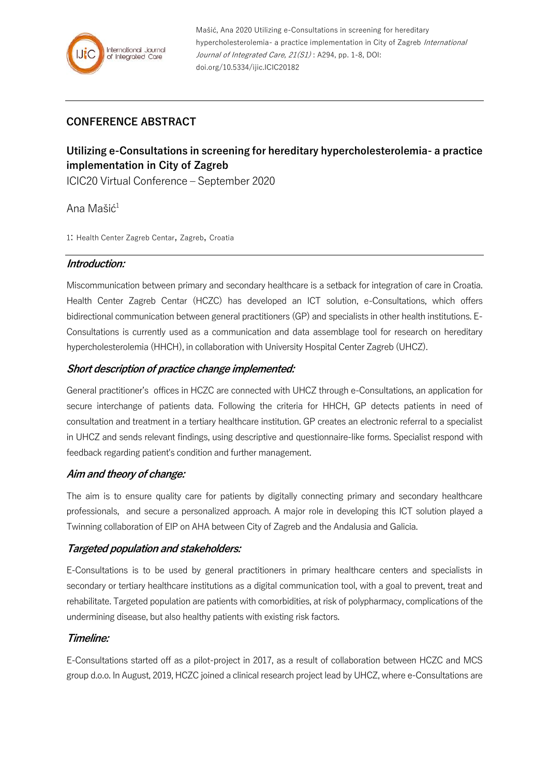## **CONFERENCE ABSTRACT**

# **Utilizing e-Consultations in screening for hereditary hypercholesterolemia- a practice implementation in City of Zagreb**

ICIC20 Virtual Conference – September 2020

Ana Mašić<sup>1</sup>

1: Health Center Zagreb Centar, Zagreb, Croatia

#### **Introduction:**

Miscommunication between primary and secondary healthcare is a setback for integration of care in Croatia. Health Center Zagreb Centar (HCZC) has developed an ICT solution, e-Consultations, which offers bidirectional communication between general practitioners (GP) and specialists in other health institutions. E-Consultations is currently used as a communication and data assemblage tool for research on hereditary hypercholesterolemia (HHCH), in collaboration with University Hospital Center Zagreb (UHCZ).

## **Short description of practice change implemented:**

General practitioner's offices in HCZC are connected with UHCZ through e-Consultations, an application for secure interchange of patients data. Following the criteria for HHCH, GP detects patients in need of consultation and treatment in a tertiary healthcare institution. GP creates an electronic referral to a specialist in UHCZ and sends relevant findings, using descriptive and questionnaire-like forms. Specialist respond with feedback regarding patient's condition and further management.

## **Aim and theory of change:**

The aim is to ensure quality care for patients by digitally connecting primary and secondary healthcare professionals, and secure a personalized approach. A major role in developing this ICT solution played a Twinning collaboration of EIP on AHA between City of Zagreb and the Andalusia and Galicia.

## **Targeted population and stakeholders:**

E-Consultations is to be used by general practitioners in primary healthcare centers and specialists in secondary or tertiary healthcare institutions as a digital communication tool, with a goal to prevent, treat and rehabilitate. Targeted population are patients with comorbidities, at risk of polypharmacy, complications of the undermining disease, but also healthy patients with existing risk factors.

## **Timeline:**

E-Consultations started off as a pilot-project in 2017, as a result of collaboration between HCZC and MCS group d.o.o. In August, 2019, HCZC joined a clinical research project lead by UHCZ, where e-Consultations are